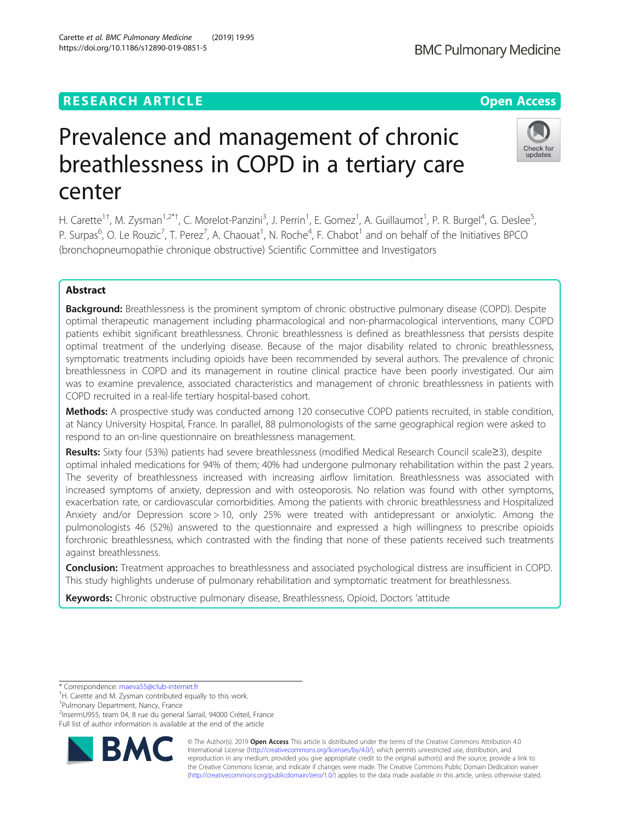# **RESEARCH ARTICLE Example 2014 12:30 The Contract of Contract ACCESS**

# Prevalence and management of chronic breathlessness in COPD in a tertiary care center

H. Carette<sup>1†</sup>, M. Zysman<sup>1,2\*†</sup>, C. Morelot-Panzini<sup>3</sup>, J. Perrin<sup>1</sup>, E. Gomez<sup>1</sup>, A. Guillaumot<sup>1</sup>, P. R. Burgel<sup>4</sup>, G. Deslee<sup>5</sup> , P. Surpas<sup>6</sup>, O. Le Rouzic<sup>7</sup>, T. Perez<sup>7</sup>, A. Chaouat<sup>1</sup>, N. Roche<sup>4</sup>, F. Chabot<sup>1</sup> and on behalf of the Initiatives BPCO (bronchopneumopathie chronique obstructive) Scientific Committee and Investigators

## Abstract

**Background:** Breathlessness is the prominent symptom of chronic obstructive pulmonary disease (COPD). Despite optimal therapeutic management including pharmacological and non-pharmacological interventions, many COPD patients exhibit significant breathlessness. Chronic breathlessness is defined as breathlessness that persists despite optimal treatment of the underlying disease. Because of the major disability related to chronic breathlessness, symptomatic treatments including opioids have been recommended by several authors. The prevalence of chronic breathlessness in COPD and its management in routine clinical practice have been poorly investigated. Our aim was to examine prevalence, associated characteristics and management of chronic breathlessness in patients with COPD recruited in a real-life tertiary hospital-based cohort.

Methods: A prospective study was conducted among 120 consecutive COPD patients recruited, in stable condition, at Nancy University Hospital, France. In parallel, 88 pulmonologists of the same geographical region were asked to respond to an on-line questionnaire on breathlessness management.

Results: Sixty four (53%) patients had severe breathlessness (modified Medical Research Council scale≥3), despite optimal inhaled medications for 94% of them; 40% had undergone pulmonary rehabilitation within the past 2 years. The severity of breathlessness increased with increasing airflow limitation. Breathlessness was associated with increased symptoms of anxiety, depression and with osteoporosis. No relation was found with other symptoms, exacerbation rate, or cardiovascular comorbidities. Among the patients with chronic breathlessness and Hospitalized Anxiety and/or Depression score > 10, only 25% were treated with antidepressant or anxiolytic. Among the pulmonologists 46 (52%) answered to the questionnaire and expressed a high willingness to prescribe opioids forchronic breathlessness, which contrasted with the finding that none of these patients received such treatments against breathlessness.

**Conclusion:** Treatment approaches to breathlessness and associated psychological distress are insufficient in COPD. This study highlights underuse of pulmonary rehabilitation and symptomatic treatment for breathlessness.

Keywords: Chronic obstructive pulmonary disease, Breathlessness, Opioid, Doctors 'attitude

\* Correspondence: [maeva55@club-internet.fr](mailto:maeva55@club-internet.fr) †

1 Pulmonary Department, Nancy, France

2 InsermU955, team 04, 8 rue du general Sarrail, 94000 Créteil, France

Full list of author information is available at the end of the article

© The Author(s). 2019 Open Access This article is distributed under the terms of the Creative Commons Attribution 4.0 International License [\(http://creativecommons.org/licenses/by/4.0/](http://creativecommons.org/licenses/by/4.0/)), which permits unrestricted use, distribution, and reproduction in any medium, provided you give appropriate credit to the original author(s) and the source, provide a link to the Creative Commons license, and indicate if changes were made. The Creative Commons Public Domain Dedication waiver [\(http://creativecommons.org/publicdomain/zero/1.0/](http://creativecommons.org/publicdomain/zero/1.0/)) applies to the data made available in this article, unless otherwise stated.







<sup>&</sup>lt;sup>†</sup>H. Carette and M. Zysman contributed equally to this work.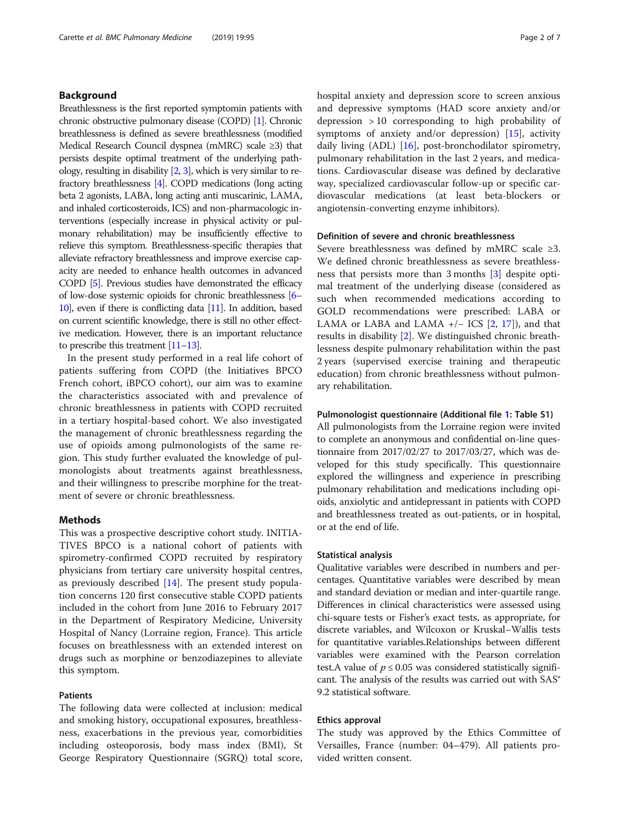### Background

Breathlessness is the first reported symptomin patients with chronic obstructive pulmonary disease (COPD) [[1](#page-5-0)]. Chronic breathlessness is defined as severe breathlessness (modified Medical Research Council dyspnea (mMRC) scale ≥3) that persists despite optimal treatment of the underlying pathology, resulting in disability [\[2,](#page-5-0) [3\]](#page-5-0), which is very similar to refractory breathlessness [\[4\]](#page-5-0). COPD medications (long acting beta 2 agonists, LABA, long acting anti muscarinic, LAMA, and inhaled corticosteroids, ICS) and non-pharmacologic interventions (especially increase in physical activity or pulmonary rehabilitation) may be insufficiently effective to relieve this symptom. Breathlessness-specific therapies that alleviate refractory breathlessness and improve exercise capacity are needed to enhance health outcomes in advanced COPD [\[5\]](#page-5-0). Previous studies have demonstrated the efficacy of low-dose systemic opioids for chronic breathlessness [\[6](#page-5-0)– [10\]](#page-5-0), even if there is conflicting data [\[11\]](#page-5-0). In addition, based on current scientific knowledge, there is still no other effective medication. However, there is an important reluctance to prescribe this treatment [[11](#page-5-0)–[13\]](#page-5-0).

In the present study performed in a real life cohort of patients suffering from COPD (the Initiatives BPCO French cohort, iBPCO cohort), our aim was to examine the characteristics associated with and prevalence of chronic breathlessness in patients with COPD recruited in a tertiary hospital-based cohort. We also investigated the management of chronic breathlessness regarding the use of opioids among pulmonologists of the same region. This study further evaluated the knowledge of pulmonologists about treatments against breathlessness, and their willingness to prescribe morphine for the treatment of severe or chronic breathlessness.

#### Methods

This was a prospective descriptive cohort study. INITIA-TIVES BPCO is a national cohort of patients with spirometry-confirmed COPD recruited by respiratory physicians from tertiary care university hospital centres, as previously described [\[14](#page-5-0)]. The present study population concerns 120 first consecutive stable COPD patients included in the cohort from June 2016 to February 2017 in the Department of Respiratory Medicine, University Hospital of Nancy (Lorraine region, France). This article focuses on breathlessness with an extended interest on drugs such as morphine or benzodiazepines to alleviate this symptom.

#### Patients

The following data were collected at inclusion: medical and smoking history, occupational exposures, breathlessness, exacerbations in the previous year, comorbidities including osteoporosis, body mass index (BMI), St George Respiratory Questionnaire (SGRQ) total score, hospital anxiety and depression score to screen anxious and depressive symptoms (HAD score anxiety and/or depression > 10 corresponding to high probability of symptoms of anxiety and/or depression)  $[15]$  $[15]$ , activity daily living (ADL) [\[16](#page-5-0)], post-bronchodilator spirometry, pulmonary rehabilitation in the last 2 years, and medications. Cardiovascular disease was defined by declarative way, specialized cardiovascular follow-up or specific cardiovascular medications (at least beta-blockers or angiotensin-converting enzyme inhibitors).

#### Definition of severe and chronic breathlessness

Severe breathlessness was defined by mMRC scale ≥3. We defined chronic breathlessness as severe breathlessness that persists more than 3 months [[3\]](#page-5-0) despite optimal treatment of the underlying disease (considered as such when recommended medications according to GOLD recommendations were prescribed: LABA or LAMA or LABA and LAMA +/− ICS [\[2](#page-5-0), [17\]](#page-5-0)), and that results in disability [[2\]](#page-5-0). We distinguished chronic breathlessness despite pulmonary rehabilitation within the past 2 years (supervised exercise training and therapeutic education) from chronic breathlessness without pulmonary rehabilitation.

#### Pulmonologist questionnaire (Additional file [1:](#page-4-0) Table S1)

All pulmonologists from the Lorraine region were invited to complete an anonymous and confidential on-line questionnaire from 2017/02/27 to 2017/03/27, which was developed for this study specifically. This questionnaire explored the willingness and experience in prescribing pulmonary rehabilitation and medications including opioids, anxiolytic and antidepressant in patients with COPD and breathlessness treated as out-patients, or in hospital, or at the end of life.

#### Statistical analysis

Qualitative variables were described in numbers and percentages. Quantitative variables were described by mean and standard deviation or median and inter-quartile range. Differences in clinical characteristics were assessed using chi-square tests or Fisher's exact tests, as appropriate, for discrete variables, and Wilcoxon or Kruskal–Wallis tests for quantitative variables.Relationships between different variables were examined with the Pearson correlation test.A value of  $p \le 0.05$  was considered statistically significant. The analysis of the results was carried out with SAS® 9.2 statistical software.

#### Ethics approval

The study was approved by the Ethics Committee of Versailles, France (number: 04–479). All patients provided written consent.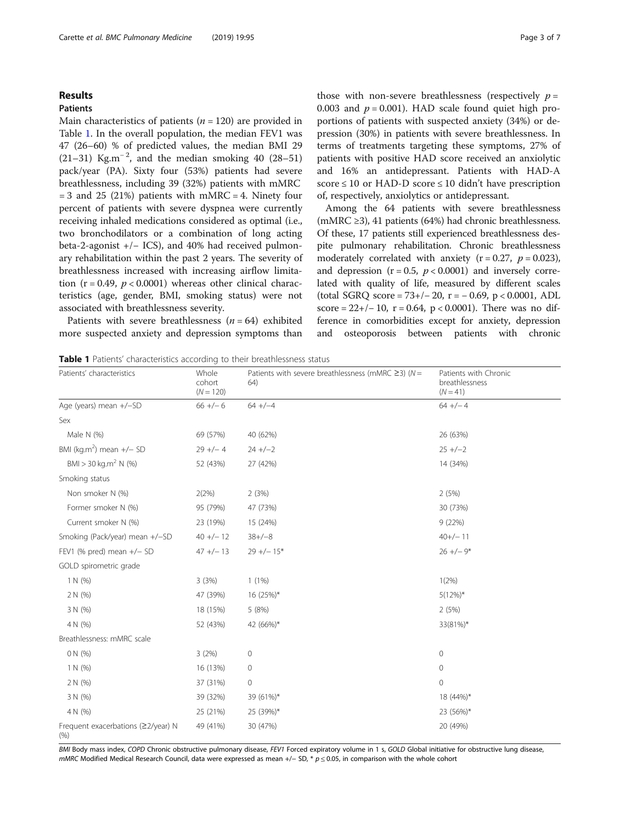#### Results

#### Patients

Main characteristics of patients ( $n = 120$ ) are provided in Table 1. In the overall population, the median FEV1 was 47 (26–60) % of predicted values, the median BMI 29 (21–31) Kg.m<sup>-2</sup>, and the median smoking 40 (28–51) pack/year (PA). Sixty four (53%) patients had severe breathlessness, including 39 (32%) patients with mMRC  $= 3$  and 25 (21%) patients with mMRC  $= 4$ . Ninety four percent of patients with severe dyspnea were currently receiving inhaled medications considered as optimal (i.e., two bronchodilators or a combination of long acting beta-2-agonist +/− ICS), and 40% had received pulmonary rehabilitation within the past 2 years. The severity of breathlessness increased with increasing airflow limitation ( $r = 0.49$ ,  $p < 0.0001$ ) whereas other clinical characteristics (age, gender, BMI, smoking status) were not associated with breathlessness severity.

Patients with severe breathlessness  $(n = 64)$  exhibited more suspected anxiety and depression symptoms than

those with non-severe breathlessness (respectively  $p =$ 0.003 and  $p = 0.001$ ). HAD scale found quiet high proportions of patients with suspected anxiety (34%) or depression (30%) in patients with severe breathlessness. In terms of treatments targeting these symptoms, 27% of patients with positive HAD score received an anxiolytic and 16% an antidepressant. Patients with HAD-A score  $\leq 10$  or HAD-D score  $\leq 10$  didn't have prescription of, respectively, anxiolytics or antidepressant.

Among the 64 patients with severe breathlessness (mMRC ≥3), 41 patients (64%) had chronic breathlessness. Of these, 17 patients still experienced breathlessness despite pulmonary rehabilitation. Chronic breathlessness moderately correlated with anxiety  $(r = 0.27, p = 0.023)$ , and depression ( $r = 0.5$ ,  $p < 0.0001$ ) and inversely correlated with quality of life, measured by different scales (total SGRQ score = 73+/− 20, r = − 0.69, p < 0.0001, ADL score =  $22+/-10$ , r = 0.64, p < 0.0001). There was no difference in comorbidities except for anxiety, depression and osteoporosis between patients with chronic

Table 1 Patients' characteristics according to their breathlessness status

| Patients' characteristics                  | Whole<br>cohort<br>$(N = 120)$ | Patients with severe breathlessness (mMRC $\geq$ 3) (N =<br>64) | Patients with Chronic<br>breathlessness<br>$(N = 41)$ |
|--------------------------------------------|--------------------------------|-----------------------------------------------------------------|-------------------------------------------------------|
| Age (years) mean +/-SD                     | $66 +/- 6$                     | $64 + (-4)$                                                     | $64 +/- 4$                                            |
| Sex                                        |                                |                                                                 |                                                       |
| Male N (%)                                 | 69 (57%)                       | 40 (62%)                                                        | 26 (63%)                                              |
| BMI (kg.m <sup>2</sup> ) mean $+/-$ SD     | $29 +/- 4$                     | $24 +/-2$                                                       | $25 +/-2$                                             |
| $BMI > 30$ kg.m <sup>2</sup> N (%)         | 52 (43%)                       | 27 (42%)                                                        | 14 (34%)                                              |
| Smoking status                             |                                |                                                                 |                                                       |
| Non smoker N (%)                           | 2(2%)                          | 2(3%)                                                           | 2(5%)                                                 |
| Former smoker N (%)                        | 95 (79%)                       | 47 (73%)                                                        | 30 (73%)                                              |
| Current smoker N (%)                       | 23 (19%)                       | 15 (24%)                                                        | 9(22%)                                                |
| Smoking (Pack/year) mean +/-SD             | $40 +/- 12$                    | $38+/-8$                                                        | $40+/-11$                                             |
| FEV1 (% pred) mean $+/-$ SD                | $47 +/- 13$                    | $29 +/- 15*$                                                    | $26 +/-9*$                                            |
| GOLD spirometric grade                     |                                |                                                                 |                                                       |
| 1 N (%)                                    | 3(3%)                          | 1(1%)                                                           | 1(2%)                                                 |
| 2 N (%)                                    | 47 (39%)                       | 16 (25%)*                                                       | $5(12\%)^*$                                           |
| 3 N (%)                                    | 18 (15%)                       | 5(8%)                                                           | 2(5%)                                                 |
| 4 N (%)                                    | 52 (43%)                       | 42 (66%)*                                                       | 33(81%)*                                              |
| Breathlessness: mMRC scale                 |                                |                                                                 |                                                       |
| 0 N (%)                                    | 3(2%)                          | $\mathbf 0$                                                     | 0                                                     |
| 1 N (%)                                    | 16 (13%)                       | $\circ$                                                         | 0                                                     |
| 2 N (%)                                    | 37 (31%)                       | $\circ$                                                         | $\mathbf{0}$                                          |
| 3 N (%)                                    | 39 (32%)                       | 39 (61%)*                                                       | 18 (44%)*                                             |
| 4 N (%)                                    | 25 (21%)                       | 25 (39%)*                                                       | 23 (56%)*                                             |
| Frequent exacerbations (≥2/year) N<br>(% ) | 49 (41%)                       | 30 (47%)                                                        | 20 (49%)                                              |

BMI Body mass index, COPD Chronic obstructive pulmonary disease, FEV1 Forced expiratory volume in 1 s, GOLD Global initiative for obstructive lung disease, mMRC Modified Medical Research Council, data were expressed as mean +/- SD, \*  $p \le 0.05$ , in comparison with the whole cohort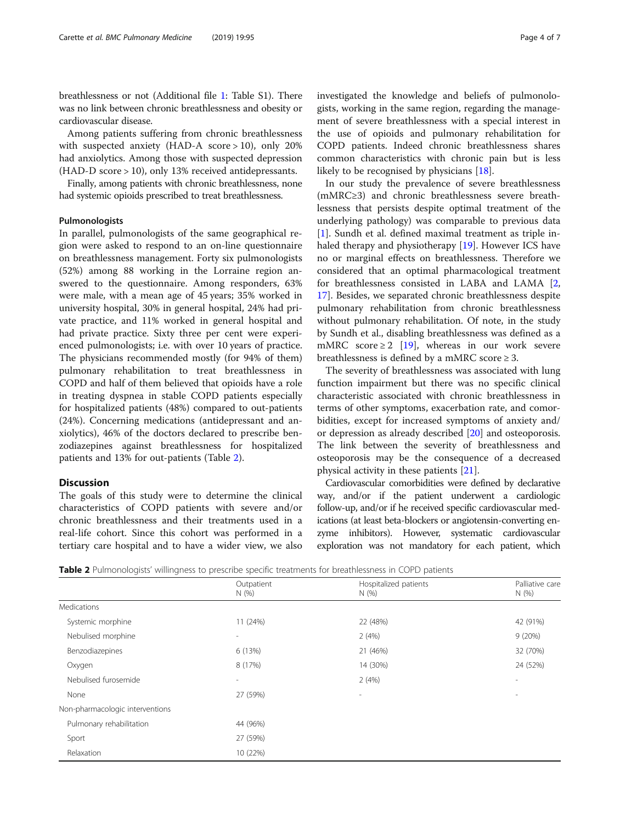breathlessness or not (Additional file [1:](#page-4-0) Table S1). There was no link between chronic breathlessness and obesity or cardiovascular disease.

Among patients suffering from chronic breathlessness with suspected anxiety (HAD-A score > 10), only 20% had anxiolytics. Among those with suspected depression (HAD-D score > 10), only 13% received antidepressants.

Finally, among patients with chronic breathlessness, none had systemic opioids prescribed to treat breathlessness.

#### Pulmonologists

In parallel, pulmonologists of the same geographical region were asked to respond to an on-line questionnaire on breathlessness management. Forty six pulmonologists (52%) among 88 working in the Lorraine region answered to the questionnaire. Among responders, 63% were male, with a mean age of 45 years; 35% worked in university hospital, 30% in general hospital, 24% had private practice, and 11% worked in general hospital and had private practice. Sixty three per cent were experienced pulmonologists; i.e. with over 10 years of practice. The physicians recommended mostly (for 94% of them) pulmonary rehabilitation to treat breathlessness in COPD and half of them believed that opioids have a role in treating dyspnea in stable COPD patients especially for hospitalized patients (48%) compared to out-patients (24%). Concerning medications (antidepressant and anxiolytics), 46% of the doctors declared to prescribe benzodiazepines against breathlessness for hospitalized patients and 13% for out-patients (Table 2).

#### **Discussion**

The goals of this study were to determine the clinical characteristics of COPD patients with severe and/or chronic breathlessness and their treatments used in a real-life cohort. Since this cohort was performed in a tertiary care hospital and to have a wider view, we also

common characteristics with chronic pain but is less likely to be recognised by physicians [[18\]](#page-5-0). In our study the prevalence of severe breathlessness (mMRC≥3) and chronic breathlessness severe breathlessness that persists despite optimal treatment of the underlying pathology) was comparable to previous data [[1\]](#page-5-0). Sundh et al. defined maximal treatment as triple inhaled therapy and physiotherapy [\[19](#page-5-0)]. However ICS have no or marginal effects on breathlessness. Therefore we considered that an optimal pharmacological treatment for breathlessness consisted in LABA and LAMA [\[2](#page-5-0), [17\]](#page-5-0). Besides, we separated chronic breathlessness despite pulmonary rehabilitation from chronic breathlessness without pulmonary rehabilitation. Of note, in the study by Sundh et al., disabling breathlessness was defined as a mMRC score  $\geq 2$  [\[19](#page-5-0)], whereas in our work severe breathlessness is defined by a mMRC score  $\geq$  3.

The severity of breathlessness was associated with lung function impairment but there was no specific clinical characteristic associated with chronic breathlessness in terms of other symptoms, exacerbation rate, and comorbidities, except for increased symptoms of anxiety and/ or depression as already described [[20](#page-6-0)] and osteoporosis. The link between the severity of breathlessness and osteoporosis may be the consequence of a decreased physical activity in these patients [[21](#page-6-0)].

Cardiovascular comorbidities were defined by declarative way, and/or if the patient underwent a cardiologic follow-up, and/or if he received specific cardiovascular medications (at least beta-blockers or angiotensin-converting enzyme inhibitors). However, systematic cardiovascular exploration was not mandatory for each patient, which

**Table 2** Pulmonologists' willingness to prescribe specific treatments for breathlessness in COPD patients

|                                 | Outpatient               | Hospitalized patients    | Palliative care          |
|---------------------------------|--------------------------|--------------------------|--------------------------|
|                                 | N(%)                     | N(%)                     | N(%)                     |
| Medications                     |                          |                          |                          |
| Systemic morphine               | 11 (24%)                 | 22 (48%)                 | 42 (91%)                 |
| Nebulised morphine              | $\sim$                   | 2(4%)                    | 9(20%)                   |
| Benzodiazepines                 | 6 (13%)                  | 21 (46%)                 | 32 (70%)                 |
| Oxygen                          | 8 (17%)                  | 14 (30%)                 | 24 (52%)                 |
| Nebulised furosemide            | $\overline{\phantom{a}}$ | 2(4%)                    | $\overline{\phantom{a}}$ |
| None                            | 27 (59%)                 | $\overline{\phantom{a}}$ | $\overline{\phantom{a}}$ |
| Non-pharmacologic interventions |                          |                          |                          |
| Pulmonary rehabilitation        | 44 (96%)                 |                          |                          |
| Sport                           | 27 (59%)                 |                          |                          |
| Relaxation                      | 10 (22%)                 |                          |                          |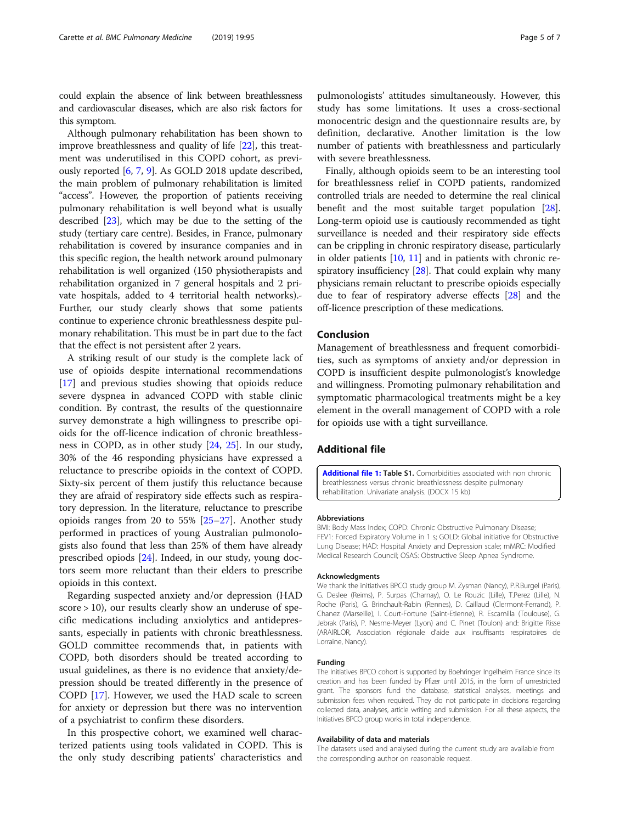<span id="page-4-0"></span>could explain the absence of link between breathlessness and cardiovascular diseases, which are also risk factors for this symptom.

Although pulmonary rehabilitation has been shown to improve breathlessness and quality of life [\[22](#page-6-0)], this treatment was underutilised in this COPD cohort, as previously reported [[6,](#page-5-0) [7,](#page-5-0) [9\]](#page-5-0). As GOLD 2018 update described, the main problem of pulmonary rehabilitation is limited "access". However, the proportion of patients receiving pulmonary rehabilitation is well beyond what is usually described [\[23\]](#page-6-0), which may be due to the setting of the study (tertiary care centre). Besides, in France, pulmonary rehabilitation is covered by insurance companies and in this specific region, the health network around pulmonary rehabilitation is well organized (150 physiotherapists and rehabilitation organized in 7 general hospitals and 2 private hospitals, added to 4 territorial health networks).- Further, our study clearly shows that some patients continue to experience chronic breathlessness despite pulmonary rehabilitation. This must be in part due to the fact that the effect is not persistent after 2 years.

A striking result of our study is the complete lack of use of opioids despite international recommendations [[17\]](#page-5-0) and previous studies showing that opioids reduce severe dyspnea in advanced COPD with stable clinic condition. By contrast, the results of the questionnaire survey demonstrate a high willingness to prescribe opioids for the off-licence indication of chronic breathlessness in COPD, as in other study [\[24,](#page-6-0) [25\]](#page-6-0). In our study, 30% of the 46 responding physicians have expressed a reluctance to prescribe opioids in the context of COPD. Sixty-six percent of them justify this reluctance because they are afraid of respiratory side effects such as respiratory depression. In the literature, reluctance to prescribe opioids ranges from 20 to 55% [\[25](#page-6-0)–[27](#page-6-0)]. Another study performed in practices of young Australian pulmonologists also found that less than 25% of them have already prescribed opiods [\[24\]](#page-6-0). Indeed, in our study, young doctors seem more reluctant than their elders to prescribe opioids in this context.

Regarding suspected anxiety and/or depression (HAD score > 10), our results clearly show an underuse of specific medications including anxiolytics and antidepressants, especially in patients with chronic breathlessness. GOLD committee recommends that, in patients with COPD, both disorders should be treated according to usual guidelines, as there is no evidence that anxiety/depression should be treated differently in the presence of COPD [\[17](#page-5-0)]. However, we used the HAD scale to screen for anxiety or depression but there was no intervention of a psychiatrist to confirm these disorders.

In this prospective cohort, we examined well characterized patients using tools validated in COPD. This is the only study describing patients' characteristics and

pulmonologists' attitudes simultaneously. However, this study has some limitations. It uses a cross-sectional monocentric design and the questionnaire results are, by definition, declarative. Another limitation is the low number of patients with breathlessness and particularly with severe breathlessness.

Finally, although opioids seem to be an interesting tool for breathlessness relief in COPD patients, randomized controlled trials are needed to determine the real clinical benefit and the most suitable target population [[28](#page-6-0)]. Long-term opioid use is cautiously recommended as tight surveillance is needed and their respiratory side effects can be crippling in chronic respiratory disease, particularly in older patients  $[10, 11]$  $[10, 11]$  $[10, 11]$  $[10, 11]$  $[10, 11]$  and in patients with chronic re-spiratory insufficiency [\[28\]](#page-6-0). That could explain why many physicians remain reluctant to prescribe opioids especially due to fear of respiratory adverse effects [\[28\]](#page-6-0) and the off-licence prescription of these medications.

#### Conclusion

Management of breathlessness and frequent comorbidities, such as symptoms of anxiety and/or depression in COPD is insufficient despite pulmonologist's knowledge and willingness. Promoting pulmonary rehabilitation and symptomatic pharmacological treatments might be a key element in the overall management of COPD with a role for opioids use with a tight surveillance.

#### Additional file

[Additional file 1:](https://doi.org/10.1186/s12890-019-0851-5) Table S1. Comorbidities associated with non chronic breathlessness versus chronic breathlessness despite pulmonary rehabilitation. Univariate analysis. (DOCX 15 kb)

#### Abbreviations

BMI: Body Mass Index; COPD: Chronic Obstructive Pulmonary Disease; FEV1: Forced Expiratory Volume in 1 s; GOLD: Global initiative for Obstructive Lung Disease; HAD: Hospital Anxiety and Depression scale; mMRC: Modified Medical Research Council; OSAS: Obstructive Sleep Apnea Syndrome.

#### Acknowledgments

We thank the initiatives BPCO study group M. Zysman (Nancy), P.R.Burgel (Paris), G. Deslee (Reims), P. Surpas (Charnay), O. Le Rouzic (Lille), T.Perez (Lille), N. Roche (Paris), G. Brinchault-Rabin (Rennes), D. Caillaud (Clermont-Ferrand), P. Chanez (Marseille), I. Court-Fortune (Saint-Etienne), R. Escamilla (Toulouse), G. Jebrak (Paris), P. Nesme-Meyer (Lyon) and C. Pinet (Toulon) and: Brigitte Risse (ARAIRLOR, Association régionale d'aide aux insuffisants respiratoires de Lorraine, Nancy).

#### Funding

The Initiatives BPCO cohort is supported by Boehringer Ingelheim France since its creation and has been funded by Pfizer until 2015, in the form of unrestricted grant. The sponsors fund the database, statistical analyses, meetings and submission fees when required. They do not participate in decisions regarding collected data, analyses, article writing and submission. For all these aspects, the Initiatives BPCO group works in total independence.

#### Availability of data and materials

The datasets used and analysed during the current study are available from the corresponding author on reasonable request.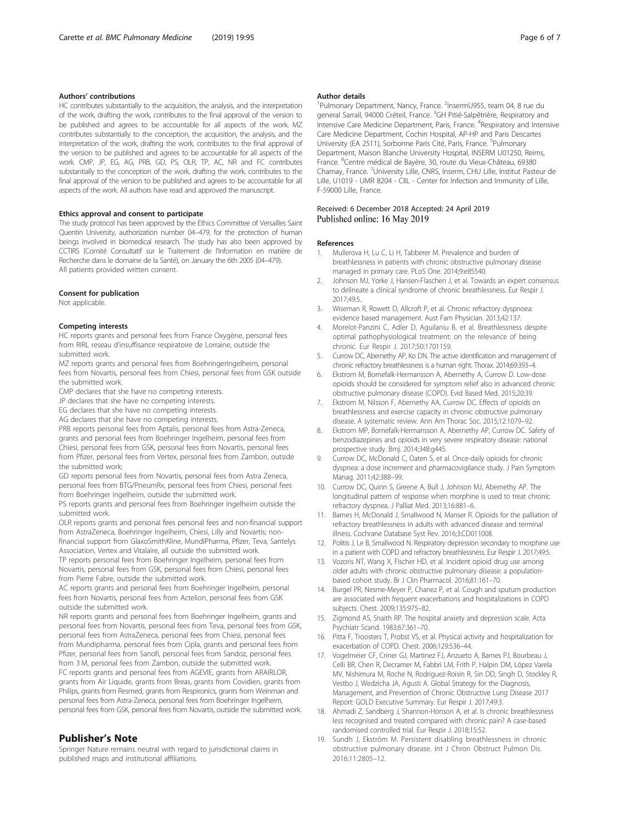#### <span id="page-5-0"></span>Authors' contributions

HC contributes substantially to the acquisition, the analysis, and the interpretation of the work, drafting the work, contributes to the final approval of the version to be published and agrees to be accountable for all aspects of the work. MZ contributes substantially to the conception, the acquisition, the analysis, and the interpretation of the work, drafting the work, contributes to the final approval of the version to be published and agrees to be accountable for all aspects of the work. CMP, JP, EG, AG, PRB, GD, PS, OLR, TP, AC, NR and FC contributes substantially to the conception of the work, drafting the work, contributes to the final approval of the version to be published and agrees to be accountable for all aspects of the work. All authors have read and approved the manuscript.

#### Ethics approval and consent to participate

The study protocol has been approved by the Ethics Committee of Versailles Saint Quentin University, authorization number 04–479, for the protection of human beings involved in biomedical research. The study has also been approved by CCTIRS (Comité Consultatif sur le Traitement de l'Information en matière de Recherche dans le domaine de la Santé), on January the 6th 2005 (04–479). All patients provided written consent.

#### Consent for publication

Not applicable.

#### Competing interests

HC reports grants and personal fees from France Oxygène, personal fees from RIRL reseau d'insuffisance respiratoire de Lorraine, outside the submitted work.

MZ reports grants and personal fees from BoehringerIngelheim, personal fees from Novartis, personal fees from Chiesi, personal fees from GSK outside the submitted work.

CMP declares that she have no competing interests.

JP declares that she have no competing interests.

EG declares that she have no competing interests.

AG declares that she have no competing interests.

PRB reports personal fees from Aptalis, personal fees from Astra-Zeneca, grants and personal fees from Boehringer Ingelheim, personal fees from Chiesi, personal fees from GSK, personal fees from Novartis, personal fees from Pfizer, personal fees from Vertex, personal fees from Zambon, outside the submitted work;

GD reports personal fees from Novartis, personal fees from Astra Zeneca, personal fees from BTG/PneumRx, personal fees from Chiesi, personal fees from Boehringer Ingelheim, outside the submitted work.

PS reports grants and personal fees from Boehringer Ingelheim outside the submitted work.

OLR reports grants and personal fees personal fees and non-financial support from AstraZeneca, Boehringer Ingelheim, Chiesi, Lilly and Novartis; nonfinancial support from GlaxoSmithKline, MundiPharma, Pfizer, Teva, Santelys Association, Vertex and Vitalaire, all outside the submitted work.

TP reports personal fees from Boehringer Ingelheim, personal fees from Novartis, personal fees from GSK, personal fees from Chiesi, personal fees from Pierre Fabre, outside the submitted work.

AC reports grants and personal fees from Boehringer Ingelheim, personal fees from Novartis, personal fees from Actelion, personal fees from GSK outside the submitted work.

NR reports grants and personal fees from Boehringer Ingelheim, grants and personal fees from Novartis, personal fees from Teva, personal fees from GSK, personal fees from AstraZeneca, personal fees from Chiesi, personal fees from Mundipharma, personal fees from Cipla, grants and personal fees from Pfizer, personal fees from Sanofi, personal fees from Sandoz, personal fees from 3 M, personal fees from Zambon, outside the submitted work.

FC reports grants and personal fees from AGEVIE, grants from ARAIRLOR, grants from Air Liquide, grants from Breas, grants from Covidien, grants from Philips, grants from Resmed, grants from Respironics, grants from Weinman and personal fees from Astra-Zeneca, personal fees from Boehringer Ingelheim, personal fees from GSK, personal fees from Novartis, outside the submitted work.

#### Publisher's Note

Springer Nature remains neutral with regard to jurisdictional claims in published maps and institutional affiliations.

#### Author details

<sup>1</sup>Pulmonary Department, Nancy, France. <sup>2</sup>InsermU955, team 04, 8 rue du general Sarrail, 94000 Créteil, France. <sup>3</sup>GH Pitié-Salpêtrière, Respiratory and Intensive Care Medicine Department, Paris, France. <sup>4</sup>Respiratory and Intensive Care Medicine Department, Cochin Hospital, AP-HP and Paris Descartes University (EA 2511), Sorbonne Paris Cité, Paris, France. <sup>5</sup>Pulmonary Department, Maison Blanche University Hospital, INSERM U01250, Reims, France. <sup>6</sup>Centre médical de Bayère, 30, route du Vieux-Château, 69380 Charnay, France. <sup>7</sup>University Lille, CNRS, Inserm, CHU Lille, Institut Pasteur de Lille, U1019 - UMR 8204 - CIIL - Center for Infection and Immunity of Lille, F-59000 Lille, France.

#### Received: 6 December 2018 Accepted: 24 April 2019 Published online: 16 May 2019

#### References

- 1. Mullerova H, Lu C, Li H, Tabberer M. Prevalence and burden of breathlessness in patients with chronic obstructive pulmonary disease managed in primary care. PLoS One. 2014;9:e85540.
- 2. Johnson MJ, Yorke J, Hansen-Flaschen J, et al. Towards an expert consensus to delineate a clinical syndrome of chronic breathlessness. Eur Respir J. 2017;49:5.
- 3. Wiseman R, Rowett D, Allcroft P, et al. Chronic refractory dyspnoea: evidence based management. Aust Fam Physician. 2013;42:137.
- 4. Morelot-Panzini C, Adler D, Aguilaniu B, et al. Breathlessness despite optimal pathophysiological treatment: on the relevance of being chronic. Eur Respir J. 2017;50:1701159.
- 5. Currow DC, Abernethy AP, Ko DN. The active identification and management of chronic refractory breathlessness is a human right. Thorax. 2014;69:393–4.
- 6. Ekstrom M, Bornefalk-Hermansson A, Abernethy A, Currow D. Low-dose opioids should be considered for symptom relief also in advanced chronic obstructive pulmonary disease (COPD). Evid Based Med. 2015;20:39.
- 7. Ekstrom M, Nilsson F, Abernethy AA, Currow DC. Effects of opioids on breathlessness and exercise capacity in chronic obstructive pulmonary disease. A systematic review. Ann Am Thorac Soc. 2015;12:1079–92.
- 8. Ekstrom MP, Bornefalk-Hermansson A, Abernethy AP, Currow DC. Safety of benzodiazepines and opioids in very severe respiratory disease: national prospective study. Bmj. 2014;348:g445.
- 9. Currow DC, McDonald C, Oaten S, et al. Once-daily opioids for chronic dyspnea: a dose increment and pharmacovigilance study. J Pain Symptom Manag. 2011;42:388–99.
- 10. Currow DC, Quinn S, Greene A, Bull J, Johnson MJ, Abernethy AP. The longitudinal pattern of response when morphine is used to treat chronic refractory dyspnea. J Palliat Med. 2013;16:881–6.
- 11. Barnes H, McDonald J, Smallwood N, Manser R. Opioids for the palliation of refractory breathlessness in adults with advanced disease and terminal illness. Cochrane Database Syst Rev. 2016;3:CD011008.
- 12. Politis J, Le B, Smallwood N. Respiratory depression secondary to morphine use in a patient with COPD and refractory breathlessness. Fur Respir J. 2017;49:5.
- 13. Vozoris NT, Wang X, Fischer HD, et al. Incident opioid drug use among older adults with chronic obstructive pulmonary disease: a populationbased cohort study. Br J Clin Pharmacol. 2016;81:161–70.
- 14. Burgel PR, Nesme-Meyer P, Chanez P, et al. Cough and sputum production are associated with frequent exacerbations and hospitalizations in COPD subjects. Chest. 2009;135:975–82.
- 15. Zigmond AS, Snaith RP. The hospital anxiety and depression scale. Acta Psychiatr Scand. 1983;67:361–70.
- 16. Pitta F, Troosters T, Probst VS, et al. Physical activity and hospitalization for exacerbation of COPD. Chest. 2006;129:536–44.
- 17. Vogelmeier CF, Criner GJ, Martinez FJ, Anzueto A, Barnes PJ, Bourbeau J, Celli BR, Chen R, Decramer M, Fabbri LM, Frith P, Halpin DM, López Varela MV, Nishimura M, Roche N, Rodriguez-Roisin R, Sin DD, Singh D, Stockley R, Vestbo J, Wedzicha JA, Agusti A. Global Strategy for the Diagnosis, Management, and Prevention of Chronic Obstructive Lung Disease 2017 Report: GOLD Executive Summary. Eur Respir J. 2017;49:3.
- 18. Ahmadi Z, Sandberg J, Shannon-Honson A, et al. Is chronic breathlessness less recognised and treated compared with chronic pain? A case-based randomised controlled trial. Eur Respir J. 2018;15:52.
- 19. Sundh J, Ekström M. Persistent disabling breathlessness in chronic obstructive pulmonary disease. Int J Chron Obstruct Pulmon Dis. 2016;11:2805–12.